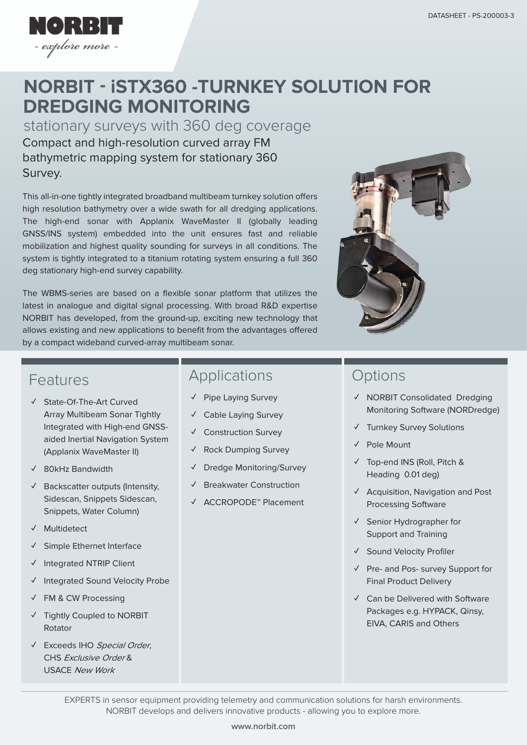

# **DREDGING MONITORING NORBIT - iSTX360 -TURNKEY SOLUTION FOR**

Compact and high-resolution curved array FM bathymetric mapping system for stationary 360 Survey. stationary surveys with 360 deg coverage

This all-in-one tightly integrated broadband multibeam turnkey solution offers high resolution bathymetry over a wide swath for all dredging applications. The high-end sonar with Applanix WaveMaster II (globally leading GNSS/INS system) embedded into the unit ensures fast and reliable mobilization and highest quality sounding for surveys in all conditions. The system is tightly integrated to a titanium rotating system ensuring a full 360 deg stationary high-end survey capability.

The WBMS-series are based on a flexible sonar platform that utilizes the latest in analogue and digital signal processing. With broad R&D expertise NORBIT has developed, from the ground-up, exciting new technology that allows existing and new applications to benefit from the advantages offered by a compact wideband curved-array multibeam sonar.



### Features

- **✓** State-Of-The-Art Curved Array Multibeam Sonar Tightly Integrated with High-end GNSSaided Inertial Navigation System (Applanix WaveMaster II)
- **✓** 80kHz Bandwidth
- **✓** Backscatter outputs (Intensity, Sidescan, Snippets Sidescan, Snippets, Water Column)
- **✓** Multidetect
- **✓** Simple Ethernet Interface
- **✓** Integrated NTRIP Client
- **✓** Integrated Sound Velocity Probe
- **✓** FM & CW Processing
- **✓** Tightly Coupled to NORBIT Rotator
- **✓** Exceeds IHO Special Order, CHS Exclusive Order & USACE New Work

# Applications

- **✓** Pipe Laying Survey
- **✓** Cable Laying Survey
- **✓** Construction Survey
- **✓** Rock Dumping Survey
- **✓** Dredge Monitoring/Survey
- **✓** Breakwater Construction
- **✓** ACCROPODE™ Placement

# **Options**

- **✓** NORBIT Consolidated Dredging Monitoring Software (NORDredge)
- **✓** Turnkey Survey Solutions
- **✓** Pole Mount
- **✓** Top-end INS (Roll, Pitch & Heading 0.01 deg)
- **✓** Acquisition, Navigation and Post Processing Software
- **✓** Senior Hydrographer for Support and Training
- **✓** Sound Velocity Profiler
- **✓** Pre- and Pos- survey Support for Final Product Delivery
- **✓** Can be Delivered with Software Packages e.g. HYPACK, Qinsy, EIVA, CARIS and Others

EXPERTS in sensor equipment providing telemetry and communication solutions for harsh environments. NORBIT develops and delivers innovative products - allowing you to explore more.